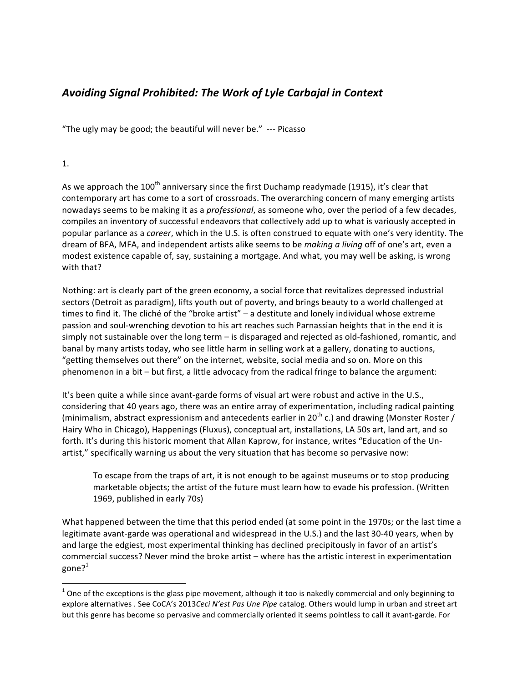## *Avoiding Signal Prohibited: The Work of Lyle Carbajal in Context*

"The ugly may be good; the beautiful will never be."  $-$ -- Picasso

## 1.

As we approach the 100<sup>th</sup> anniversary since the first Duchamp readymade (1915), it's clear that contemporary art has come to a sort of crossroads. The overarching concern of many emerging artists nowadays seems to be making it as a *professional*, as someone who, over the period of a few decades, compiles an inventory of successful endeavors that collectively add up to what is variously accepted in popular parlance as a *career*, which in the U.S. is often construed to equate with one's very identity. The dream of BFA, MFA, and independent artists alike seems to be *making a living* off of one's art, even a modest existence capable of, say, sustaining a mortgage. And what, you may well be asking, is wrong with that?

Nothing: art is clearly part of the green economy, a social force that revitalizes depressed industrial sectors (Detroit as paradigm), lifts youth out of poverty, and brings beauty to a world challenged at times to find it. The cliché of the "broke artist" – a destitute and lonely individual whose extreme passion and soul-wrenching devotion to his art reaches such Parnassian heights that in the end it is simply not sustainable over the long term  $-$  is disparaged and rejected as old-fashioned, romantic, and banal by many artists today, who see little harm in selling work at a gallery, donating to auctions, "getting themselves out there" on the internet, website, social media and so on. More on this phenomenon in a bit – but first, a little advocacy from the radical fringe to balance the argument:

It's been quite a while since avant-garde forms of visual art were robust and active in the U.S., considering that 40 years ago, there was an entire array of experimentation, including radical painting (minimalism, abstract expressionism and antecedents earlier in 20<sup>th</sup> c.) and drawing (Monster Roster / Hairy Who in Chicago), Happenings (Fluxus), conceptual art, installations, LA 50s art, land art, and so forth. It's during this historic moment that Allan Kaprow, for instance, writes "Education of the Unartist," specifically warning us about the very situation that has become so pervasive now:

To escape from the traps of art, it is not enough to be against museums or to stop producing marketable objects; the artist of the future must learn how to evade his profession. (Written 1969, published in early 70s)

What happened between the time that this period ended (at some point in the 1970s; or the last time a legitimate avant-garde was operational and widespread in the U.S.) and the last 30-40 years, when by and large the edgiest, most experimental thinking has declined precipitously in favor of an artist's commercial success? Never mind the broke artist – where has the artistic interest in experimentation gone?<sup>1</sup>

<u> 1989 - Johann Stein, fransk politik (d. 1989)</u>

 $1$  One of the exceptions is the glass pipe movement, although it too is nakedly commercial and only beginning to explore alternatives . See CoCA's 2013*Ceci N'est Pas Une Pipe* catalog. Others would lump in urban and street art but this genre has become so pervasive and commercially oriented it seems pointless to call it avant-garde. For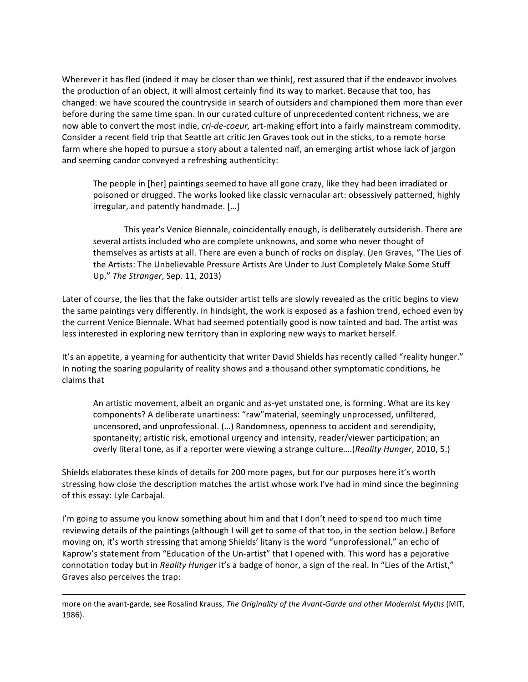Wherever it has fled (indeed it may be closer than we think), rest assured that if the endeavor involves the production of an object, it will almost certainly find its way to market. Because that too, has changed: we have scoured the countryside in search of outsiders and championed them more than ever before during the same time span. In our curated culture of unprecedented content richness, we are now able to convert the most indie, *cri-de-coeur*, art-making effort into a fairly mainstream commodity. Consider a recent field trip that Seattle art critic Jen Graves took out in the sticks, to a remote horse farm where she hoped to pursue a story about a talented naïf, an emerging artist whose lack of jargon and seeming candor conveyed a refreshing authenticity:

The people in [her] paintings seemed to have all gone crazy, like they had been irradiated or poisoned or drugged. The works looked like classic vernacular art: obsessively patterned, highly irregular, and patently handmade. [...]

This year's Venice Biennale, coincidentally enough, is deliberately outsiderish. There are several artists included who are complete unknowns, and some who never thought of themselves as artists at all. There are even a bunch of rocks on display. (Jen Graves, "The Lies of the Artists: The Unbelievable Pressure Artists Are Under to Just Completely Make Some Stuff Up," *The Stranger*, Sep. 11, 2013)

Later of course, the lies that the fake outsider artist tells are slowly revealed as the critic begins to view the same paintings very differently. In hindsight, the work is exposed as a fashion trend, echoed even by the current Venice Biennale. What had seemed potentially good is now tainted and bad. The artist was less interested in exploring new territory than in exploring new ways to market herself.

It's an appetite, a yearning for authenticity that writer David Shields has recently called "reality hunger." In noting the soaring popularity of reality shows and a thousand other symptomatic conditions, he claims that

An artistic movement, albeit an organic and as-yet unstated one, is forming. What are its key components? A deliberate unartiness: "raw"material, seemingly unprocessed, unfiltered, uncensored, and unprofessional. (...) Randomness, openness to accident and serendipity, spontaneity; artistic risk, emotional urgency and intensity, reader/viewer participation; an overly literal tone, as if a reporter were viewing a strange culture....(*Reality Hunger*, 2010, 5.)

Shields elaborates these kinds of details for 200 more pages, but for our purposes here it's worth stressing how close the description matches the artist whose work I've had in mind since the beginning of this essay: Lyle Carbajal.

I'm going to assume you know something about him and that I don't need to spend too much time reviewing details of the paintings (although I will get to some of that too, in the section below.) Before moving on, it's worth stressing that among Shields' litany is the word "unprofessional," an echo of Kaprow's statement from "Education of the Un-artist" that I opened with. This word has a pejorative connotation today but in *Reality Hunger* it's a badge of honor, a sign of the real. In "Lies of the Artist," Graves also perceives the trap:

<sup>&</sup>lt;u> 1989 - Andrea Santa Andrea Andrea Andrea Andrea Andrea Andrea Andrea Andrea Andrea Andrea Andrea Andrea Andr</u> more on the avant-garde, see Rosalind Krauss, *The Originality of the Avant-Garde and other Modernist Myths* (MIT, 1986).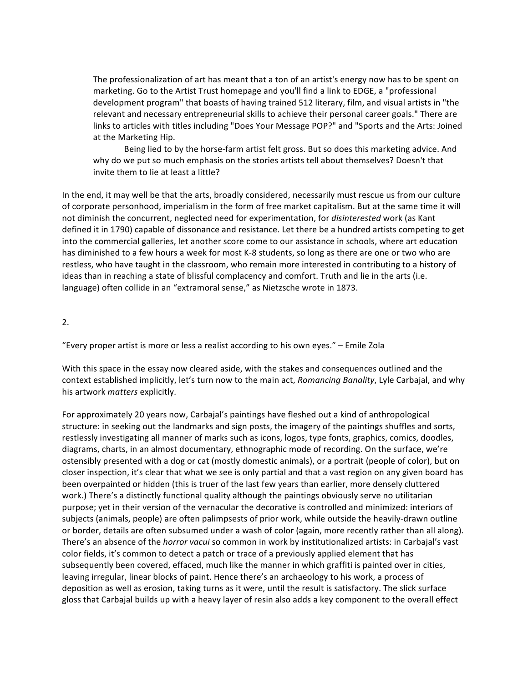The professionalization of art has meant that a ton of an artist's energy now has to be spent on marketing. Go to the Artist Trust homepage and you'll find a link to EDGE, a "professional development program" that boasts of having trained 512 literary, film, and visual artists in "the relevant and necessary entrepreneurial skills to achieve their personal career goals." There are links to articles with titles including "Does Your Message POP?" and "Sports and the Arts: Joined at the Marketing Hip.

Being lied to by the horse-farm artist felt gross. But so does this marketing advice. And why do we put so much emphasis on the stories artists tell about themselves? Doesn't that invite them to lie at least a little?

In the end, it may well be that the arts, broadly considered, necessarily must rescue us from our culture of corporate personhood, imperialism in the form of free market capitalism. But at the same time it will not diminish the concurrent, neglected need for experimentation, for *disinterested* work (as Kant defined it in 1790) capable of dissonance and resistance. Let there be a hundred artists competing to get into the commercial galleries, let another score come to our assistance in schools, where art education has diminished to a few hours a week for most K-8 students, so long as there are one or two who are restless, who have taught in the classroom, who remain more interested in contributing to a history of ideas than in reaching a state of blissful complacency and comfort. Truth and lie in the arts (i.e. language) often collide in an "extramoral sense," as Nietzsche wrote in 1873.

2.

"Every proper artist is more or less a realist according to his own eyes." - Emile Zola

With this space in the essay now cleared aside, with the stakes and consequences outlined and the context established implicitly, let's turn now to the main act, *Romancing Banality*, Lyle Carbajal, and why his artwork *matters* explicitly.

For approximately 20 years now, Carbajal's paintings have fleshed out a kind of anthropological structure: in seeking out the landmarks and sign posts, the imagery of the paintings shuffles and sorts, restlessly investigating all manner of marks such as icons, logos, type fonts, graphics, comics, doodles, diagrams, charts, in an almost documentary, ethnographic mode of recording. On the surface, we're ostensibly presented with a dog or cat (mostly domestic animals), or a portrait (people of color), but on closer inspection, it's clear that what we see is only partial and that a vast region on any given board has been overpainted or hidden (this is truer of the last few years than earlier, more densely cluttered work.) There's a distinctly functional quality although the paintings obviously serve no utilitarian purpose; yet in their version of the vernacular the decorative is controlled and minimized: interiors of subjects (animals, people) are often palimpsests of prior work, while outside the heavily-drawn outline or border, details are often subsumed under a wash of color (again, more recently rather than all along). There's an absence of the *horror vacui* so common in work by institutionalized artists: in Carbajal's vast color fields, it's common to detect a patch or trace of a previously applied element that has subsequently been covered, effaced, much like the manner in which graffiti is painted over in cities, leaving irregular, linear blocks of paint. Hence there's an archaeology to his work, a process of deposition as well as erosion, taking turns as it were, until the result is satisfactory. The slick surface gloss that Carbajal builds up with a heavy layer of resin also adds a key component to the overall effect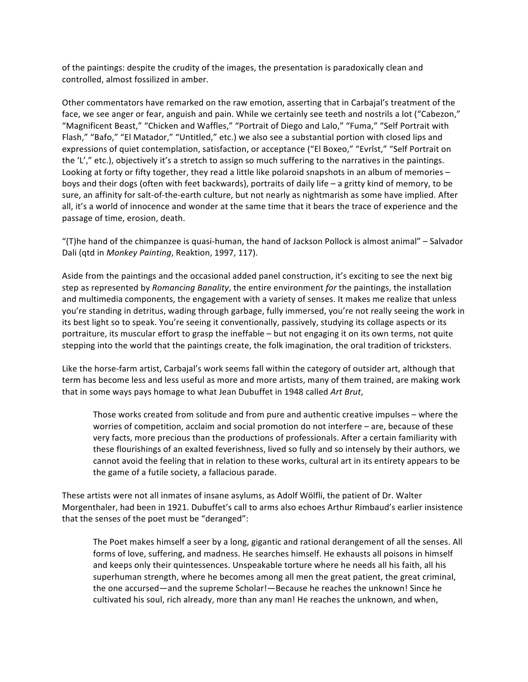of the paintings: despite the crudity of the images, the presentation is paradoxically clean and controlled, almost fossilized in amber.

Other commentators have remarked on the raw emotion, asserting that in Carbajal's treatment of the face, we see anger or fear, anguish and pain. While we certainly see teeth and nostrils a lot ("Cabezon," "Magnificent Beast," "Chicken and Waffles," "Portrait of Diego and Lalo," "Fuma," "Self Portrait with Flash," "Bafo," "El Matador," "Untitled," etc.) we also see a substantial portion with closed lips and expressions of quiet contemplation, satisfaction, or acceptance ("El Boxeo," "Evrlst," "Self Portrait on the 'L'," etc.), objectively it's a stretch to assign so much suffering to the narratives in the paintings. Looking at forty or fifty together, they read a little like polaroid snapshots in an album of memories  $$ boys and their dogs (often with feet backwards), portraits of daily life – a gritty kind of memory, to be sure, an affinity for salt-of-the-earth culture, but not nearly as nightmarish as some have implied. After all, it's a world of innocence and wonder at the same time that it bears the trace of experience and the passage of time, erosion, death.

"(T)he hand of the chimpanzee is quasi-human, the hand of Jackson Pollock is almost animal" – Salvador Dali (qtd in *Monkey Painting*, Reaktion, 1997, 117).

Aside from the paintings and the occasional added panel construction, it's exciting to see the next big step as represented by *Romancing Banality*, the entire environment *for* the paintings, the installation and multimedia components, the engagement with a variety of senses. It makes me realize that unless you're standing in detritus, wading through garbage, fully immersed, you're not really seeing the work in its best light so to speak. You're seeing it conventionally, passively, studying its collage aspects or its portraiture, its muscular effort to grasp the ineffable – but not engaging it on its own terms, not quite stepping into the world that the paintings create, the folk imagination, the oral tradition of tricksters.

Like the horse-farm artist, Carbajal's work seems fall within the category of outsider art, although that term has become less and less useful as more and more artists, many of them trained, are making work that in some ways pays homage to what Jean Dubuffet in 1948 called Art Brut,

Those works created from solitude and from pure and authentic creative impulses – where the worries of competition, acclaim and social promotion do not interfere - are, because of these very facts, more precious than the productions of professionals. After a certain familiarity with these flourishings of an exalted feverishness, lived so fully and so intensely by their authors, we cannot avoid the feeling that in relation to these works, cultural art in its entirety appears to be the game of a futile society, a fallacious parade.

These artists were not all inmates of insane asylums, as Adolf Wölfli, the patient of Dr. Walter Morgenthaler, had been in 1921. Dubuffet's call to arms also echoes Arthur Rimbaud's earlier insistence that the senses of the poet must be "deranged":

The Poet makes himself a seer by a long, gigantic and rational derangement of all the senses. All forms of love, suffering, and madness. He searches himself. He exhausts all poisons in himself and keeps only their quintessences. Unspeakable torture where he needs all his faith, all his superhuman strength, where he becomes among all men the great patient, the great criminal, the one accursed—and the supreme Scholar!—Because he reaches the unknown! Since he cultivated his soul, rich already, more than any man! He reaches the unknown, and when,